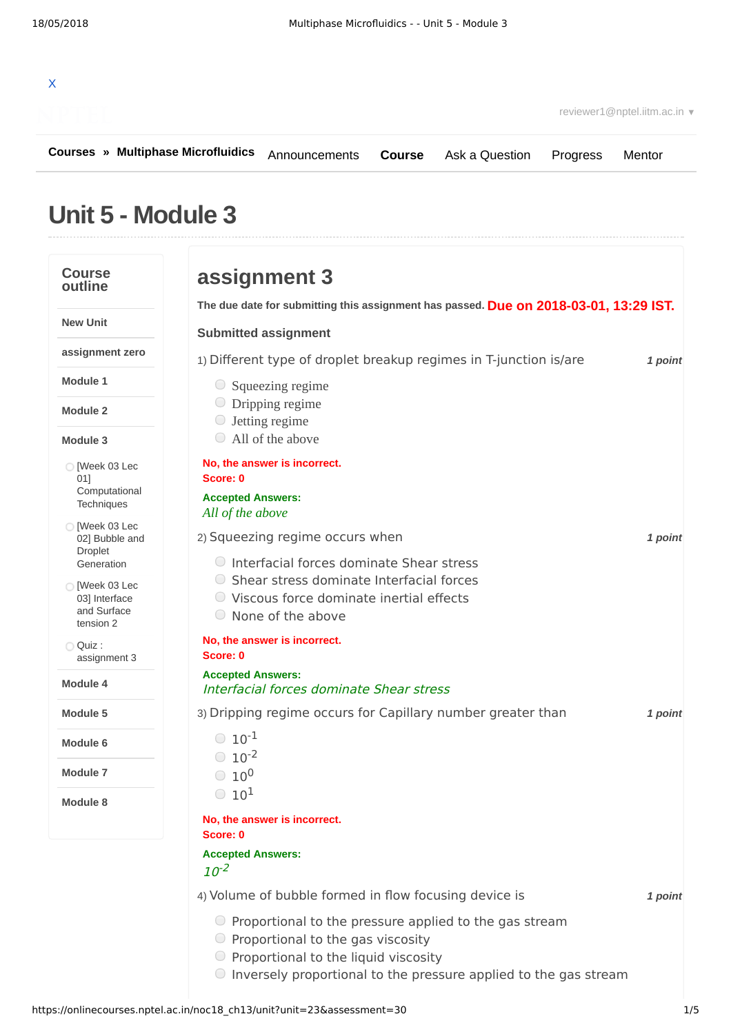

**[Courses](https://onlinecourses.nptel.ac.in/) » [Multiphase Microfluidics](https://onlinecourses.nptel.ac.in/noc18_ch13/course)**

**[Course](https://onlinecourses.nptel.ac.in/noc18_ch13/course)** [Ask a Question](https://onlinecourses.nptel.ac.in/noc18_ch13/forum) [Progress](https://onlinecourses.nptel.ac.in/noc18_ch13/student/home) [Mentor](https://onlinecourses.nptel.ac.in/noc18_ch13/student/mentor)

# **Unit 5 - Module 3**

#### **Course outline New Unit assignment zero Module 1 Module 2 Module 3 Module 4 Module 5 Module 6 Module 7 Module 8**  $\bigcirc$  [Week 03 Lec 01] [Computational](https://onlinecourses.nptel.ac.in/noc18_ch13/unit?unit=23&lesson=24) **Techniques**  $\bigcirc$  [Week 03 Lec 02] Bubble and Droplet [Generation](https://onlinecourses.nptel.ac.in/noc18_ch13/unit?unit=23&lesson=25) O [Week 03 Lec 03] [Interface](https://onlinecourses.nptel.ac.in/noc18_ch13/unit?unit=23&lesson=26) and Surface tension 2 Quiz : [assignment](https://onlinecourses.nptel.ac.in/noc18_ch13/assessment?name=30) 3 **Due on 2018-03-01, 13:29 IST. The due date for submitting this assignment has passed.** 1) *1 point* Different type of droplet breakup regimes in T-junction is/are 2) *1 point* Squeezing regime occurs when 3) *1 point* Dripping regime occurs for Capillary number greater than 4) *1 point* Volume of bubble formed in flow focusing device is **assignment 3 Submitted assignment** Squeezing regime Dripping regime Jetting regime All of the above **No, the answer is incorrect. Score: 0 Accepted Answers:** *All of the above* Interfacial forces dominate Shear stress Shear stress dominate Interfacial forces Viscous force dominate inertial effects None of the above **No, the answer is incorrect. Score: 0 Accepted Answers:** Interfacial forces dominate Shear stress  $10^{-1}$  $10^{-2}$  $10^0$  $10^1$ **No, the answer is incorrect. Score: 0 Accepted Answers:**  $10^{-2}$  $\bigcirc$  Proportional to the pressure applied to the gas stream  $\circ$  Proportional to the gas viscosity  $\bullet$  Proportional to the liquid viscosity  $\bullet$  Inversely proportional to the pressure applied to the gas stream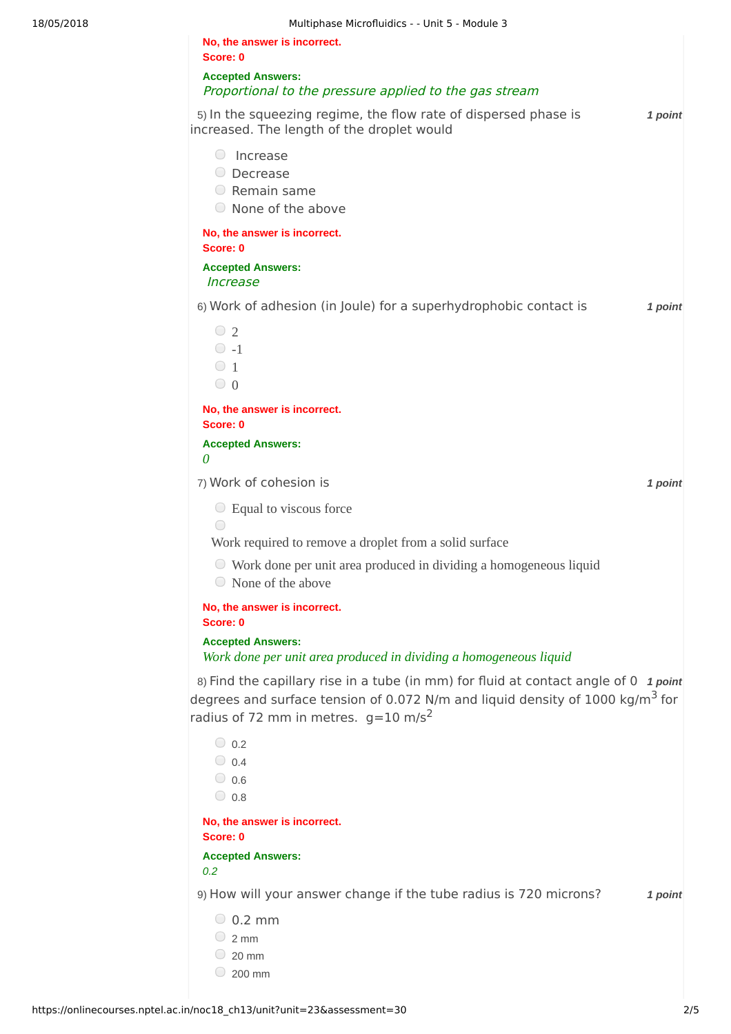| No, the answer is incorrect.<br>Score: 0                                                                                                                                                                                               |         |
|----------------------------------------------------------------------------------------------------------------------------------------------------------------------------------------------------------------------------------------|---------|
| <b>Accepted Answers:</b><br>Proportional to the pressure applied to the gas stream                                                                                                                                                     |         |
| 5) In the squeezing regime, the flow rate of dispersed phase is<br>increased. The length of the droplet would                                                                                                                          | 1 point |
| Increase<br>$\left(\quad\right)$<br>O Decrease<br>$\circ$ Remain same<br>◯ None of the above                                                                                                                                           |         |
| No, the answer is incorrect.<br>Score: 0<br><b>Accepted Answers:</b><br><i><u><b>Increase</b></u></i>                                                                                                                                  |         |
| 6) Work of adhesion (in Joule) for a superhydrophobic contact is                                                                                                                                                                       | 1 point |
| $\circ$ 2<br>$\circ$ -1<br>$\circ$ 1<br>$\bigcirc$ 0                                                                                                                                                                                   |         |
| No, the answer is incorrect.<br>Score: 0                                                                                                                                                                                               |         |
| <b>Accepted Answers:</b><br>0                                                                                                                                                                                                          |         |
| 7) Work of cohesion is                                                                                                                                                                                                                 | 1 point |
| $\circ$ Equal to viscous force<br>$(\ )$<br>Work required to remove a droplet from a solid surface                                                                                                                                     |         |
| $\circ$ Work done per unit area produced in dividing a homogeneous liquid<br>$\odot$ None of the above                                                                                                                                 |         |
| No, the answer is incorrect.<br>Score: 0                                                                                                                                                                                               |         |
| <b>Accepted Answers:</b><br>Work done per unit area produced in dividing a homogeneous liquid                                                                                                                                          |         |
| 8) Find the capillary rise in a tube (in mm) for fluid at contact angle of 0 $1$ point<br>degrees and surface tension of 0.072 N/m and liquid density of 1000 kg/m <sup>3</sup> for<br>radius of 72 mm in metres. $g=10 \text{ m/s}^2$ |         |
| $\bigcirc$ 0.2<br>$\bigcirc$ 0.4<br>$\bigcirc$ 0.6<br>$\bigcirc$ 0.8                                                                                                                                                                   |         |
| No, the answer is incorrect.<br>Score: 0                                                                                                                                                                                               |         |
| <b>Accepted Answers:</b><br>0.2                                                                                                                                                                                                        |         |
| 9) How will your answer change if the tube radius is 720 microns?                                                                                                                                                                      | 1 point |
| $\circ$ 0.2 mm<br>$\bigcirc$ 2 mm<br>$\circ$ 20 mm                                                                                                                                                                                     |         |

 $\degree$  200 mm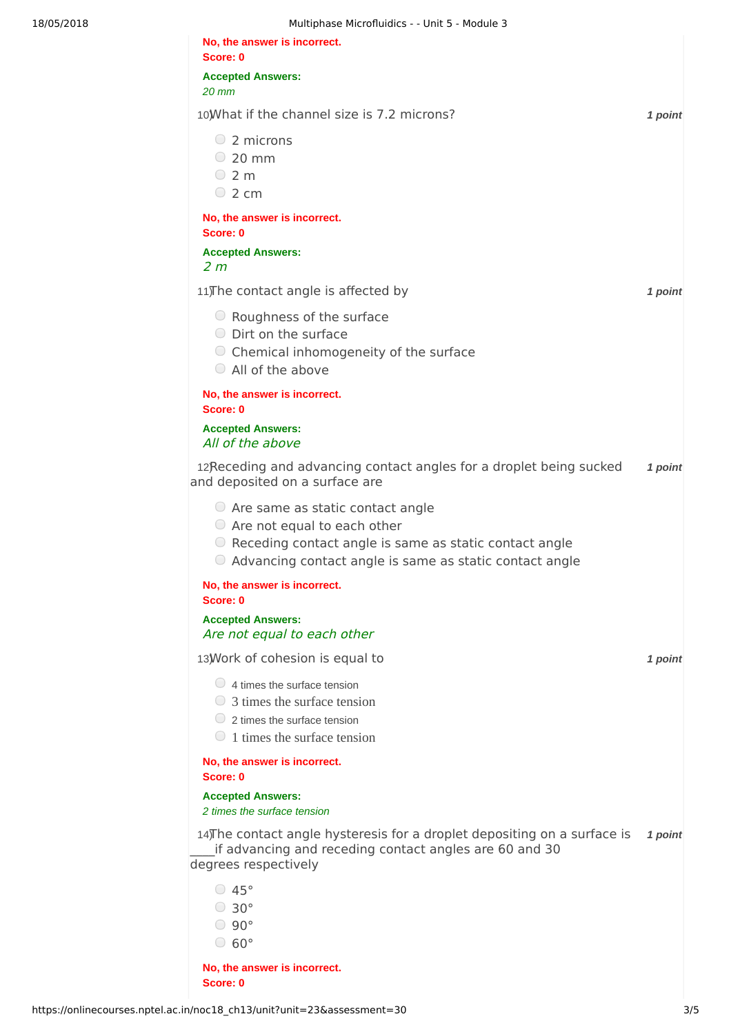| 18/05/2018 | Multiphase Microfluidics - - Unit 5 - Module 3                                                                                                                                                         |         |
|------------|--------------------------------------------------------------------------------------------------------------------------------------------------------------------------------------------------------|---------|
|            | No, the answer is incorrect.<br>Score: 0                                                                                                                                                               |         |
|            | <b>Accepted Answers:</b><br>$20$ mm                                                                                                                                                                    |         |
|            | 10) What if the channel size is 7.2 microns?                                                                                                                                                           | 1 point |
|            | $\circ$ 2 microns<br>$\degree$ 20 mm<br>$\circ$ 2 m<br>$\circ$ 2 cm                                                                                                                                    |         |
|            | No, the answer is incorrect.<br>Score: 0                                                                                                                                                               |         |
|            | <b>Accepted Answers:</b><br>2 <sub>m</sub>                                                                                                                                                             |         |
|            | 11) The contact angle is affected by                                                                                                                                                                   | 1 point |
|            | ○ Roughness of the surface<br>O Dirt on the surface<br>○ Chemical inhomogeneity of the surface                                                                                                         |         |
|            | All of the above                                                                                                                                                                                       |         |
|            | No, the answer is incorrect.<br>Score: 0                                                                                                                                                               |         |
|            | <b>Accepted Answers:</b><br>All of the above                                                                                                                                                           |         |
|            | 12Receding and advancing contact angles for a droplet being sucked<br>and deposited on a surface are                                                                                                   | 1 point |
|            | $\circ$ Are same as static contact angle<br>$\circ$ Are not equal to each other<br>○ Receding contact angle is same as static contact angle<br>Advancing contact angle is same as static contact angle |         |
|            | No, the answer is incorrect.<br>Score: 0                                                                                                                                                               |         |
|            | <b>Accepted Answers:</b><br>Are not equal to each other                                                                                                                                                |         |
|            | 13) Work of cohesion is equal to                                                                                                                                                                       | 1 point |
|            | $\bigcirc$ 4 times the surface tension<br>$\bigcirc$ 3 times the surface tension<br>$\circ$ 2 times the surface tension<br>$\bigcirc$ 1 times the surface tension                                      |         |
|            | No, the answer is incorrect.<br>Score: 0                                                                                                                                                               |         |
|            | <b>Accepted Answers:</b><br>2 times the surface tension                                                                                                                                                |         |
|            | 14) The contact angle hysteresis for a droplet depositing on a surface is<br>if advancing and receding contact angles are 60 and 30<br>degrees respectively                                            | 1 point |
|            | $\degree$ 45°<br>$\degree$ 30 $^{\circ}$<br>$\degree$ 90 $\degree$<br>$\degree$ 60 $\degree$                                                                                                           |         |

**No, the answer is incorrect. Score: 0**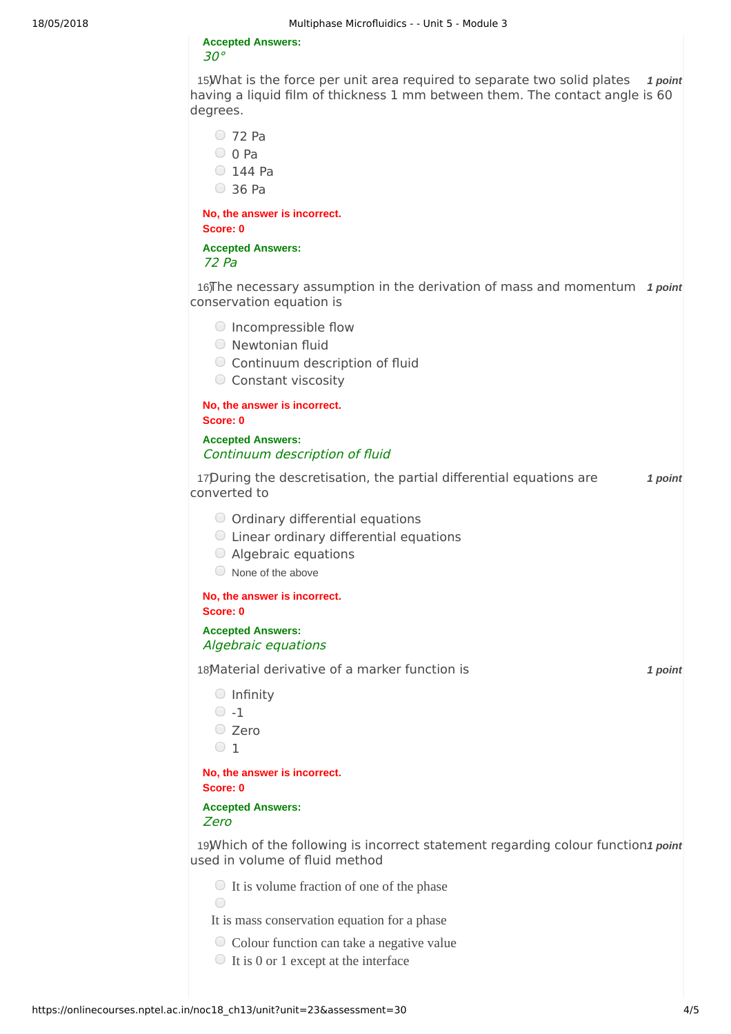### **Accepted Answers:** 30°

15) What is the force per unit area required to separate two solid plates 1 point having a liquid film of thickness 1 mm between them. The contact angle is 60 degrees.

72 Pa

- $\circ$  0 Pa
- $O$  144 Pa
- 36 Pa

**No, the answer is incorrect. Score: 0**

**Accepted Answers:** 72 Pa

16) In accessary assumption in the derivation of mass and momentum 1 point conservation equation is

- $\bigcirc$  Incompressible flow
- Newtonian fluid
- Continuum description of fluid
- Constant viscosity

**No, the answer is incorrect. Score: 0**

### **Accepted Answers:** Continuum description of fluid

17) *1 point* During the descretisation, the partial differential equations are converted to

- O Ordinary differential equations
- Linear ordinary differential equations
- Algebraic equations
- $\circ$  None of the above

# **No, the answer is incorrect.**

**Score: 0**

## **Accepted Answers:** Algebraic equations

18) *1 point* Material derivative of a marker function is

- $O$  Infinity
- $\circ$  -1
- Zero
- $\circ$  1

### **No, the answer is incorrect. Score: 0**

### **Accepted Answers:** Zero

19) Which of the following is incorrect statement regarding colour function1 point used in volume of fluid method

 $\bigcirc$  It is volume fraction of one of the phase

- It is mass conservation equation for a phase
- Colour function can take a negative value
- $\bigcirc$  It is 0 or 1 except at the interface

 $\bigcap$